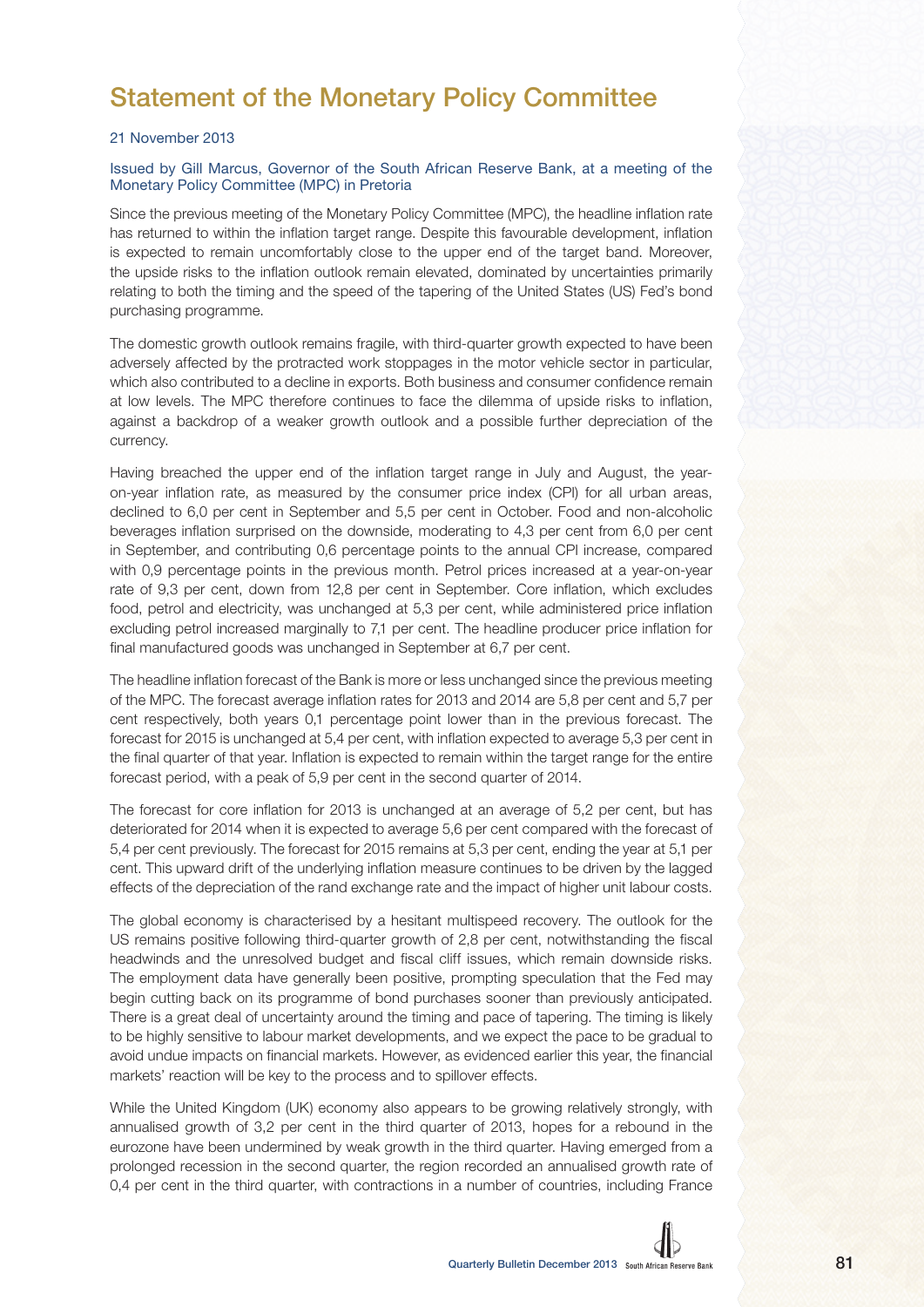## Statement of the Monetary Policy Committee

## 21 November 2013

## Issued by Gill Marcus, Governor of the South African Reserve Bank, at a meeting of the Monetary Policy Committee (MPC) in Pretoria

Since the previous meeting of the Monetary Policy Committee (MPC), the headline inflation rate has returned to within the inflation target range. Despite this favourable development, inflation is expected to remain uncomfortably close to the upper end of the target band. Moreover, the upside risks to the inflation outlook remain elevated, dominated by uncertainties primarily relating to both the timing and the speed of the tapering of the United States (US) Fed's bond purchasing programme.

The domestic growth outlook remains fragile, with third-quarter growth expected to have been adversely affected by the protracted work stoppages in the motor vehicle sector in particular, which also contributed to a decline in exports. Both business and consumer confidence remain at low levels. The MPC therefore continues to face the dilemma of upside risks to inflation, against a backdrop of a weaker growth outlook and a possible further depreciation of the currency.

Having breached the upper end of the inflation target range in July and August, the yearon-year inflation rate, as measured by the consumer price index (CPI) for all urban areas, declined to 6,0 per cent in September and 5,5 per cent in October. Food and non-alcoholic beverages inflation surprised on the downside, moderating to 4,3 per cent from 6,0 per cent in September, and contributing 0,6 percentage points to the annual CPI increase, compared with 0,9 percentage points in the previous month. Petrol prices increased at a year-on-year rate of 9,3 per cent, down from 12,8 per cent in September. Core inflation, which excludes food, petrol and electricity, was unchanged at 5,3 per cent, while administered price inflation excluding petrol increased marginally to 7,1 per cent. The headline producer price inflation for final manufactured goods was unchanged in September at 6,7 per cent.

The headline inflation forecast of the Bank is more or less unchanged since the previous meeting of the MPC. The forecast average inflation rates for 2013 and 2014 are 5,8 per cent and 5,7 per cent respectively, both years 0,1 percentage point lower than in the previous forecast. The forecast for 2015 is unchanged at 5,4 per cent, with inflation expected to average 5,3 per cent in the final quarter of that year. Inflation is expected to remain within the target range for the entire forecast period, with a peak of 5,9 per cent in the second quarter of 2014.

The forecast for core inflation for 2013 is unchanged at an average of 5,2 per cent, but has deteriorated for 2014 when it is expected to average 5,6 per cent compared with the forecast of 5,4 per cent previously. The forecast for 2015 remains at 5,3 per cent, ending the year at 5,1 per cent. This upward drift of the underlying inflation measure continues to be driven by the lagged effects of the depreciation of the rand exchange rate and the impact of higher unit labour costs.

The global economy is characterised by a hesitant multispeed recovery. The outlook for the US remains positive following third-quarter growth of 2,8 per cent, notwithstanding the fiscal headwinds and the unresolved budget and fiscal cliff issues, which remain downside risks. The employment data have generally been positive, prompting speculation that the Fed may begin cutting back on its programme of bond purchases sooner than previously anticipated. There is a great deal of uncertainty around the timing and pace of tapering. The timing is likely to be highly sensitive to labour market developments, and we expect the pace to be gradual to avoid undue impacts on financial markets. However, as evidenced earlier this year, the financial markets' reaction will be key to the process and to spillover effects.

While the United Kingdom (UK) economy also appears to be growing relatively strongly, with annualised growth of 3,2 per cent in the third quarter of 2013, hopes for a rebound in the eurozone have been undermined by weak growth in the third quarter. Having emerged from a prolonged recession in the second quarter, the region recorded an annualised growth rate of 0.4 per cent in the third quarter, with contractions in a number of countries, including France

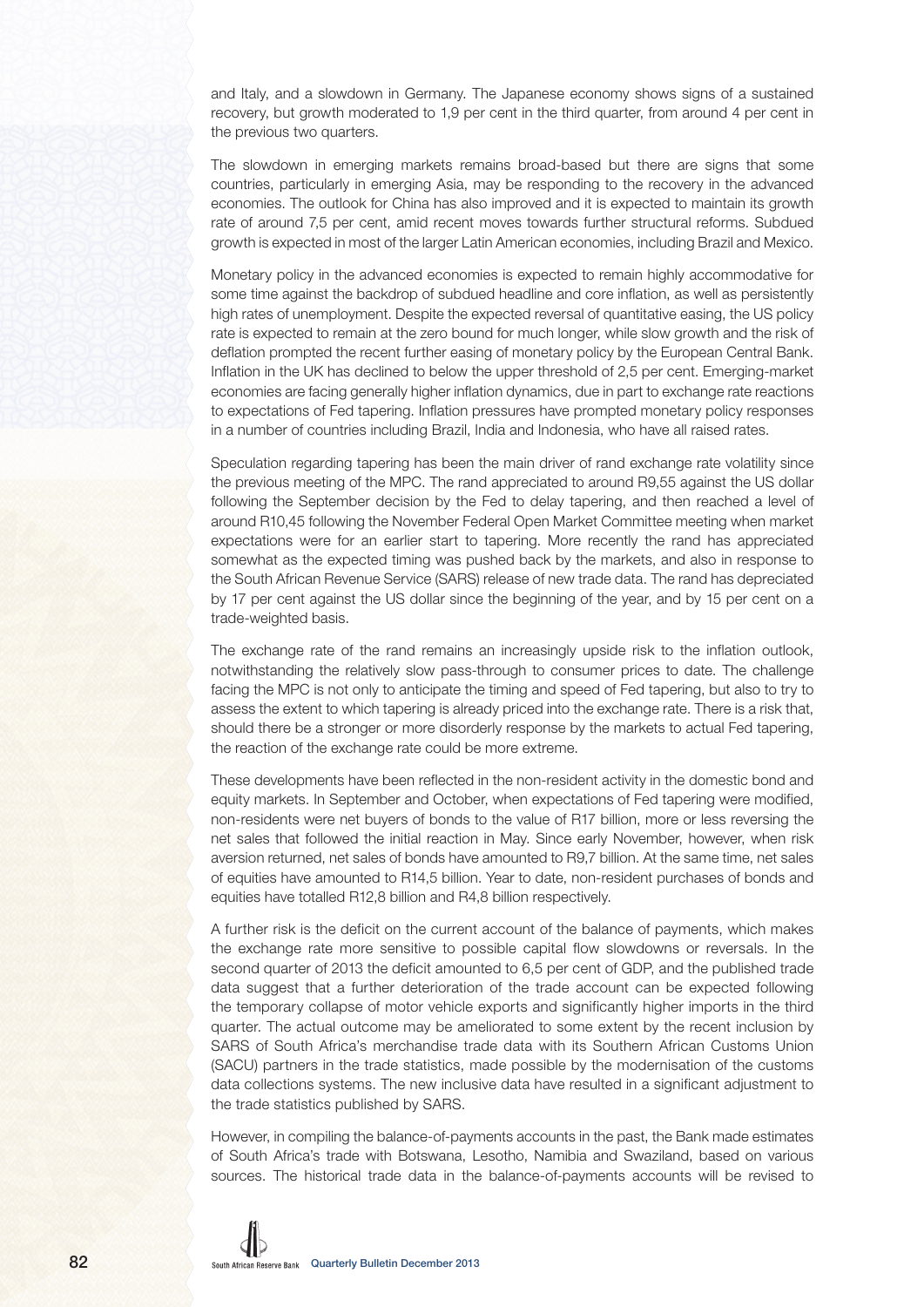and Italy, and a slowdown in Germany. The Japanese economy shows signs of a sustained recovery, but growth moderated to 1,9 per cent in the third quarter, from around 4 per cent in the previous two quarters.

The slowdown in emerging markets remains broad-based but there are signs that some countries, particularly in emerging Asia, may be responding to the recovery in the advanced economies. The outlook for China has also improved and it is expected to maintain its growth rate of around 7,5 per cent, amid recent moves towards further structural reforms. Subdued growth is expected in most of the larger Latin American economies, including Brazil and Mexico.

Monetary policy in the advanced economies is expected to remain highly accommodative for some time against the backdrop of subdued headline and core inflation, as well as persistently high rates of unemployment. Despite the expected reversal of quantitative easing, the US policy rate is expected to remain at the zero bound for much longer, while slow growth and the risk of deflation prompted the recent further easing of monetary policy by the European Central Bank. Inflation in the UK has declined to below the upper threshold of 2,5 per cent. Emerging-market economies are facing generally higher inflation dynamics, due in part to exchange rate reactions to expectations of Fed tapering. Inflation pressures have prompted monetary policy responses in a number of countries including Brazil, India and Indonesia, who have all raised rates.

Speculation regarding tapering has been the main driver of rand exchange rate volatility since the previous meeting of the MPC. The rand appreciated to around R9,55 against the US dollar following the September decision by the Fed to delay tapering, and then reached a level of around R10,45 following the November Federal Open Market Committee meeting when market expectations were for an earlier start to tapering. More recently the rand has appreciated somewhat as the expected timing was pushed back by the markets, and also in response to the South African Revenue Service (SARS) release of new trade data. The rand has depreciated by 17 per cent against the US dollar since the beginning of the year, and by 15 per cent on a trade-weighted basis.

The exchange rate of the rand remains an increasingly upside risk to the inflation outlook, notwithstanding the relatively slow pass-through to consumer prices to date. The challenge facing the MPC is not only to anticipate the timing and speed of Fed tapering, but also to try to assess the extent to which tapering is already priced into the exchange rate. There is a risk that, should there be a stronger or more disorderly response by the markets to actual Fed tapering, the reaction of the exchange rate could be more extreme.

These developments have been reflected in the non-resident activity in the domestic bond and equity markets. In September and October, when expectations of Fed tapering were modified, non-residents were net buyers of bonds to the value of R17 billion, more or less reversing the net sales that followed the initial reaction in May. Since early November, however, when risk aversion returned, net sales of bonds have amounted to R9,7 billion. At the same time, net sales of equities have amounted to R14,5 billion. Year to date, non-resident purchases of bonds and equities have totalled R12,8 billion and R4,8 billion respectively.

A further risk is the deficit on the current account of the balance of payments, which makes the exchange rate more sensitive to possible capital flow slowdowns or reversals. In the second quarter of 2013 the deficit amounted to 6,5 per cent of GDP, and the published trade data suggest that a further deterioration of the trade account can be expected following the temporary collapse of motor vehicle exports and significantly higher imports in the third quarter. The actual outcome may be ameliorated to some extent by the recent inclusion by SARS of South Africa's merchandise trade data with its Southern African Customs Union (SACU) partners in the trade statistics, made possible by the modernisation of the customs data collections systems. The new inclusive data have resulted in a significant adjustment to the trade statistics published by SARS.

However, in compiling the balance-of-payments accounts in the past, the Bank made estimates of South Africa's trade with Botswana, Lesotho, Namibia and Swaziland, based on various sources. The historical trade data in the balance-of-payments accounts will be revised to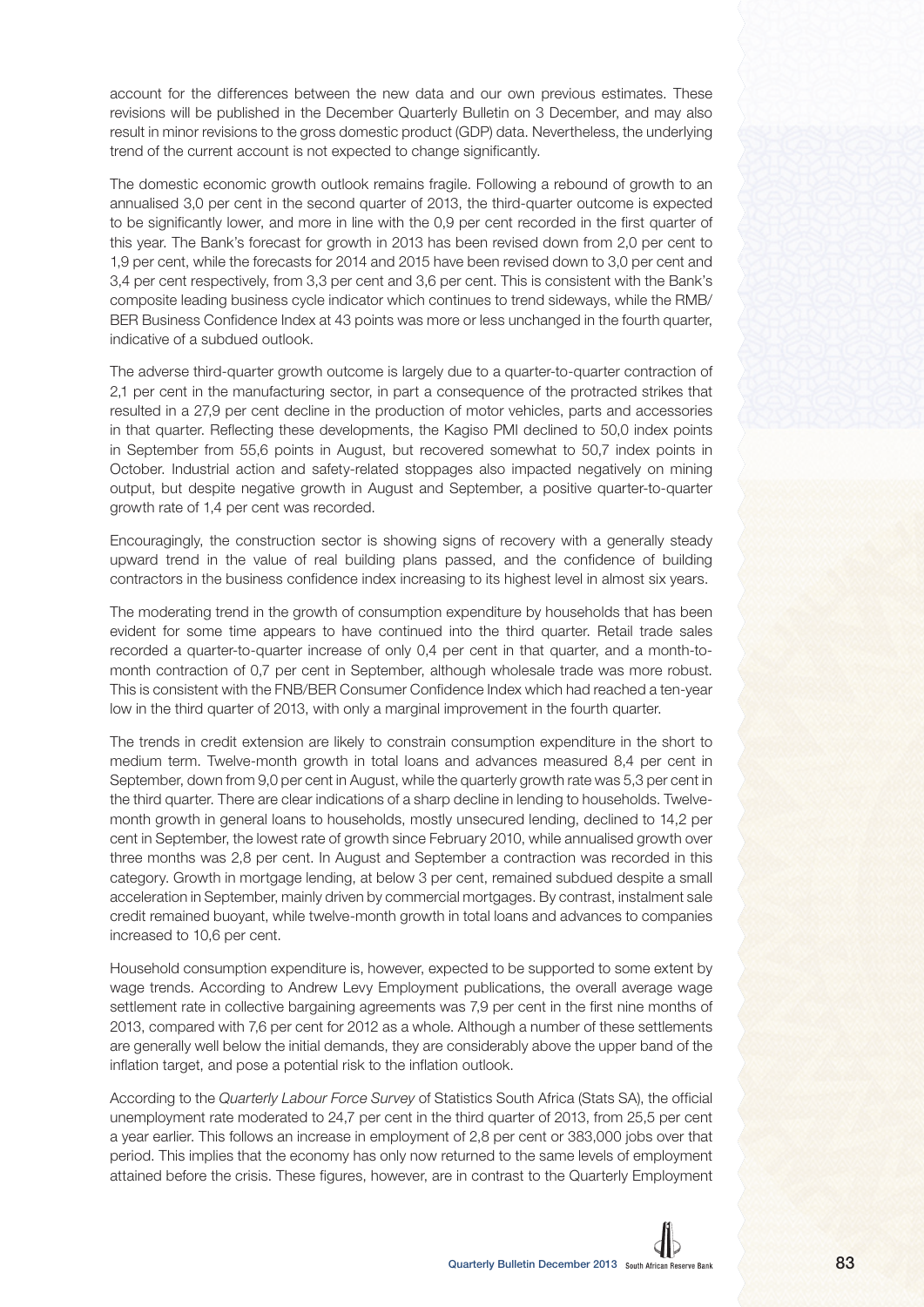account for the differences between the new data and our own previous estimates. These revisions will be published in the December Quarterly Bulletin on 3 December, and may also result in minor revisions to the gross domestic product (GDP) data. Nevertheless, the underlying trend of the current account is not expected to change significantly.

The domestic economic growth outlook remains fragile. Following a rebound of growth to an annualised 3,0 per cent in the second quarter of 2013, the third-quarter outcome is expected to be significantly lower, and more in line with the 0,9 per cent recorded in the first quarter of this year. The Bank's forecast for growth in 2013 has been revised down from 2,0 per cent to 1,9 per cent, while the forecasts for 2014 and 2015 have been revised down to 3,0 per cent and 3,4 per cent respectively, from 3,3 per cent and 3,6 per cent. This is consistent with the Bank's composite leading business cycle indicator which continues to trend sideways, while the RMB/ BER Business Confidence Index at 43 points was more or less unchanged in the fourth quarter, indicative of a subdued outlook.

The adverse third-quarter growth outcome is largely due to a quarter-to-quarter contraction of 2,1 per cent in the manufacturing sector, in part a consequence of the protracted strikes that resulted in a 27,9 per cent decline in the production of motor vehicles, parts and accessories in that quarter. Reflecting these developments, the Kagiso PMI declined to 50,0 index points in September from 55,6 points in August, but recovered somewhat to 50,7 index points in October. Industrial action and safety-related stoppages also impacted negatively on mining output, but despite negative growth in August and September, a positive quarter-to-quarter growth rate of 1,4 per cent was recorded.

Encouragingly, the construction sector is showing signs of recovery with a generally steady upward trend in the value of real building plans passed, and the confidence of building contractors in the business confidence index increasing to its highest level in almost six years.

The moderating trend in the growth of consumption expenditure by households that has been evident for some time appears to have continued into the third quarter. Retail trade sales recorded a quarter-to-quarter increase of only 0,4 per cent in that quarter, and a month-tomonth contraction of 0,7 per cent in September, although wholesale trade was more robust. This is consistent with the FNB/BER Consumer Confidence Index which had reached a ten-year low in the third quarter of 2013, with only a marginal improvement in the fourth quarter.

The trends in credit extension are likely to constrain consumption expenditure in the short to medium term. Twelve-month growth in total loans and advances measured 8,4 per cent in September, down from 9,0 per cent in August, while the quarterly growth rate was 5,3 per cent in the third quarter. There are clear indications of a sharp decline in lending to households. Twelvemonth growth in general loans to households, mostly unsecured lending, declined to 14,2 per cent in September, the lowest rate of growth since February 2010, while annualised growth over three months was 2,8 per cent. In August and September a contraction was recorded in this category. Growth in mortgage lending, at below 3 per cent, remained subdued despite a small acceleration in September, mainly driven by commercial mortgages. By contrast, instalment sale credit remained buoyant, while twelve-month growth in total loans and advances to companies increased to 10,6 per cent.

Household consumption expenditure is, however, expected to be supported to some extent by wage trends. According to Andrew Levy Employment publications, the overall average wage settlement rate in collective bargaining agreements was 7,9 per cent in the first nine months of 2013, compared with 7,6 per cent for 2012 as a whole. Although a number of these settlements are generally well below the initial demands, they are considerably above the upper band of the inflation target, and pose a potential risk to the inflation outlook.

According to the Quarterly Labour Force Survey of Statistics South Africa (Stats SA), the official unemployment rate moderated to 24,7 per cent in the third quarter of 2013, from 25,5 per cent a year earlier. This follows an increase in employment of 2,8 per cent or 383,000 jobs over that period. This implies that the economy has only now returned to the same levels of employment attained before the crisis. These figures, however, are in contrast to the Quarterly Employment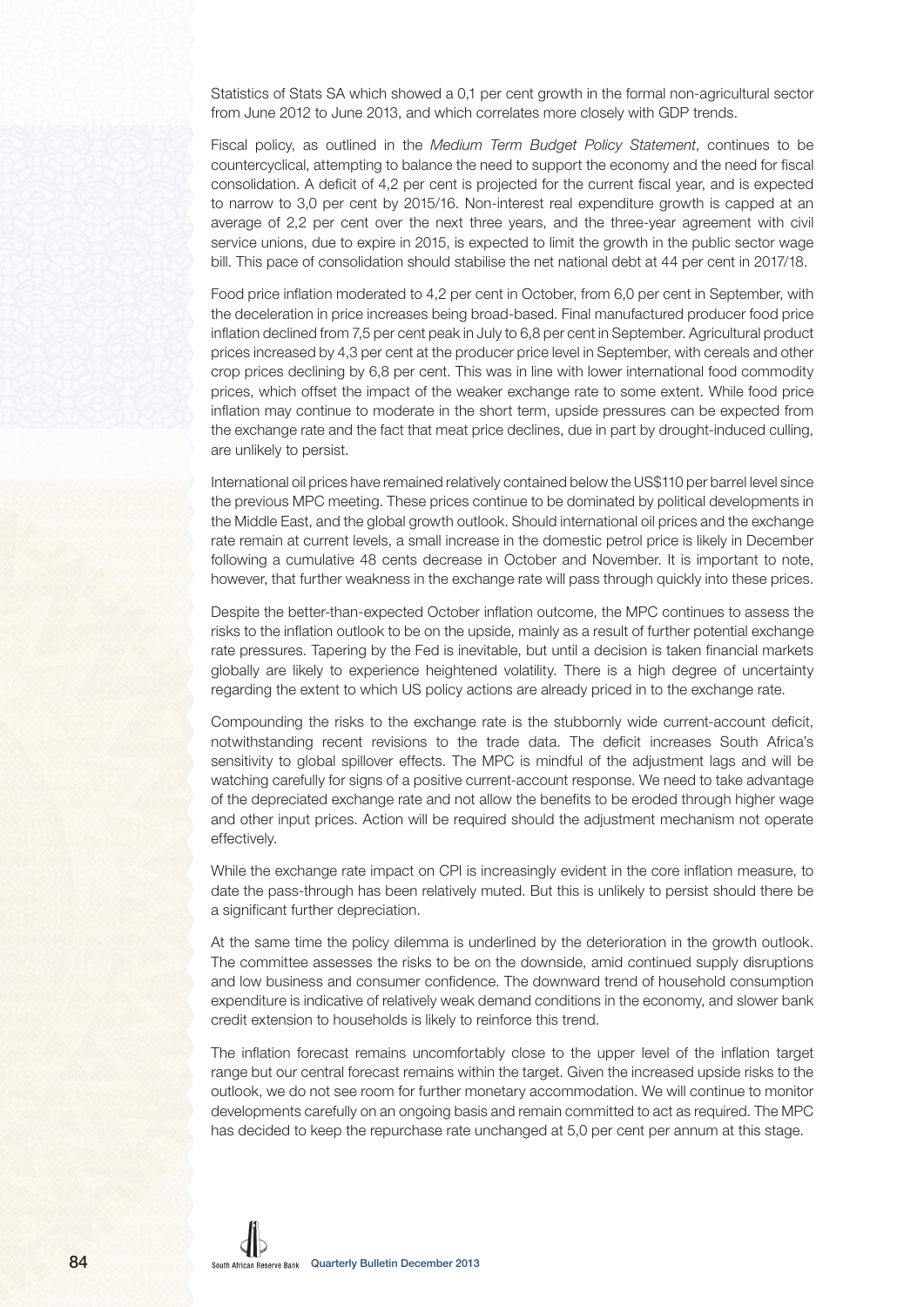Statistics of Stats SA which showed a 0,1 per cent growth in the formal non-agricultural sector from June 2012 to June 2013, and which correlates more closely with GDP trends.

Fiscal policy, as outlined in the Medium Term Budget Policy Statement, continues to be countercyclical, attempting to balance the need to support the economy and the need for fiscal consolidation. A deficit of 4,2 per cent is projected for the current fiscal year, and is expected to narrow to 3,0 per cent by 2015/16. Non-interest real expenditure growth is capped at an average of 2,2 per cent over the next three years, and the three-year agreement with civil service unions, due to expire in 2015, is expected to limit the growth in the public sector wage bill. This pace of consolidation should stabilise the net national debt at 44 per cent in 2017/18.

Food price inflation moderated to 4,2 per cent in October, from 6,0 per cent in September, with the deceleration in price increases being broad-based. Final manufactured producer food price inflation declined from 7,5 per cent peak in July to 6,8 per cent in September. Agricultural product prices increased by 4,3 per cent at the producer price level in September, with cereals and other crop prices declining by 6,8 per cent. This was in line with lower international food commodity prices, which offset the impact of the weaker exchange rate to some extent. While food price inflation may continue to moderate in the short term, upside pressures can be expected from the exchange rate and the fact that meat price declines, due in part by drought-induced culling, are unlikely to persist.

International oil prices have remained relatively contained below the US\$110 per barrel level since the previous MPC meeting. These prices continue to be dominated by political developments in the Middle East, and the global growth outlook. Should international oil prices and the exchange rate remain at current levels, a small increase in the domestic petrol price is likely in December following a cumulative 48 cents decrease in October and November. It is important to note, however, that further weakness in the exchange rate will pass through quickly into these prices.

Despite the better-than-expected October inflation outcome, the MPC continues to assess the risks to the inflation outlook to be on the upside, mainly as a result of further potential exchange rate pressures. Tapering by the Fed is inevitable, but until a decision is taken financial markets globally are likely to experience heightened volatility. There is a high degree of uncertainty regarding the extent to which US policy actions are already priced in to the exchange rate.

Compounding the risks to the exchange rate is the stubbornly wide current-account deficit, notwithstanding recent revisions to the trade data. The deficit increases South Africa's sensitivity to global spillover effects. The MPC is mindful of the adjustment lags and will be watching carefully for signs of a positive current-account response. We need to take advantage of the depreciated exchange rate and not allow the benefits to be eroded through higher wage and other input prices. Action will be required should the adjustment mechanism not operate effectively.

While the exchange rate impact on CPI is increasingly evident in the core inflation measure, to date the pass-through has been relatively muted. But this is unlikely to persist should there be a significant further depreciation.

At the same time the policy dilemma is underlined by the deterioration in the growth outlook. The committee assesses the risks to be on the downside, amid continued supply disruptions and low business and consumer confidence. The downward trend of household consumption expenditure is indicative of relatively weak demand conditions in the economy, and slower bank credit extension to households is likely to reinforce this trend.

The inflation forecast remains uncomfortably close to the upper level of the inflation target range but our central forecast remains within the target. Given the increased upside risks to the outlook, we do not see room for further monetary accommodation. We will continue to monitor developments carefully on an ongoing basis and remain committed to act as required. The MPC has decided to keep the repurchase rate unchanged at 5,0 per cent per annum at this stage.